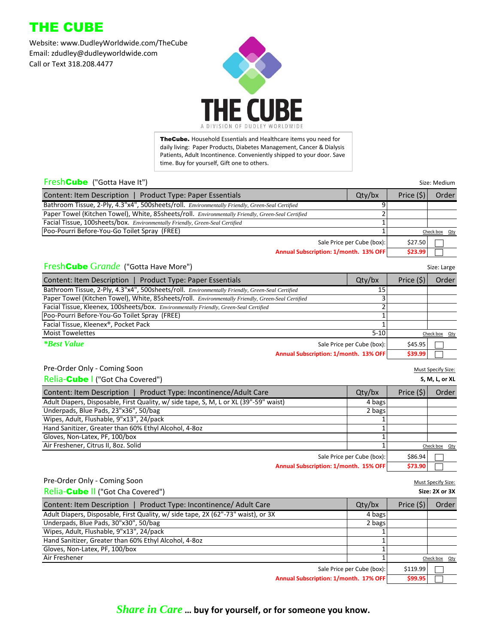# THE CUBE

Website: www.DudleyWorldwide.com/TheCube Email: zdudley@dudleyworldwide.com Call or Text 318.208.4477



TheCube. Household Essentials and Healthcare items you need for daily living: Paper Products, Diabetes Management, Cancer & Dialysis Patients, Adult Incontinence. Conveniently shipped to your door. Save time. Buy for yourself, Gift one to others.

#### **FreshCube** ("Gotta Have It") Size: Medium Size: Medium Size: Medium Size: Medium Size: Medium Size: Medium Size: Medium

| <b>Product Type: Paper Essentials</b><br><b>Content: Item Description</b>                         | Qty/bx                     | Price $(5)$ | Order         |
|---------------------------------------------------------------------------------------------------|----------------------------|-------------|---------------|
| Bathroom Tissue, 2-Ply, 4.3"x4", 500sheets/roll. Environmentally Friendly, Green-Seal Certified   |                            |             |               |
| Paper Towel (Kitchen Towel), White, 85sheets/roll. Environmentally Friendly, Green-Seal Certified |                            |             |               |
| Facial Tissue, 100sheets/box. Environmentally Friendly, Green-Seal Certified                      |                            |             |               |
| Poo-Pourri Before-You-Go Toilet Spray (FREE)                                                      |                            |             | Check box Qty |
|                                                                                                   | Sale Price per Cube (box): | \$27.50     |               |
| Annual Subscription: 1/month, 13% OFF                                                             |                            | \$23.99     |               |

**Annual Subscription: 1/month. 13% OFF \$23.99**

| Size: Large |
|-------------|

### **FreshCube Grande** ("Gotta Have More") Size: Large More and Size: Large More Size: Large Size: Large Size: Large Size: Large Size: Large Size: Large Size: Large Size: Large Size: Large Size: Large Size: Large Size: Large S

| Content: Item Description   Product Type: Paper Essentials                                        | Qty/bx                     | Price (\$) | Order         |
|---------------------------------------------------------------------------------------------------|----------------------------|------------|---------------|
| Bathroom Tissue, 2-Ply, 4.3"x4", 500sheets/roll. Environmentally Friendly, Green-Seal Certified   | 15                         |            |               |
| Paper Towel (Kitchen Towel), White, 85sheets/roll. Environmentally Friendly, Green-Seal Certified |                            |            |               |
| Facial Tissue, Kleenex, 100sheets/box. Environmentally Friendly, Green-Seal Certified             |                            |            |               |
| Poo-Pourri Before-You-Go Toilet Spray (FREE)                                                      |                            |            |               |
| Facial Tissue, Kleenex®, Pocket Pack                                                              |                            |            |               |
| <b>Moist Towelettes</b>                                                                           | $5 - 10$                   |            | Check box Qty |
| <i>*Best Value</i>                                                                                | Sale Price per Cube (box): | \$45.95    |               |
| Annual Subscription: 1/month. 13% OFF                                                             |                            | \$39.99    |               |

#### Pre-Order Only - Coming Soon Must Specify Size:

| Relia-Cube   ("Got Cha Covered")                                                      |                            |             | S, M, L, or XL |
|---------------------------------------------------------------------------------------|----------------------------|-------------|----------------|
| Content: Item Description   Product Type: Incontinence/Adult Care                     | $Q$ ty/bx                  | Price $(5)$ | Order          |
| Adult Diapers, Disposable, First Quality, w/ side tape, S, M, L or XL (39"-59" waist) | 4 bags                     |             |                |
| Underpads, Blue Pads, 23"x36", 50/bag                                                 | 2 bags                     |             |                |
| Wipes, Adult, Flushable, 9"x13", 24/pack                                              |                            |             |                |
| Hand Sanitizer, Greater than 60% Ethyl Alcohol, 4-8oz                                 |                            |             |                |
| Gloves, Non-Latex, PF, 100/box                                                        |                            |             |                |
| Air Freshener, Citrus II, 80z. Solid                                                  |                            |             | Check box Qty  |
|                                                                                       | Sale Price per Cube (box): | \$86.94     |                |
| Annual Subscription: 1/month. 15% OFF                                                 |                            | \$73.90     |                |

|                            |                                                                                                                 | Must Specify Size:                  |
|----------------------------|-----------------------------------------------------------------------------------------------------------------|-------------------------------------|
|                            |                                                                                                                 | Size: 2X or 3X                      |
| $Q$ ty/bx                  | Price $(5)$                                                                                                     | Order                               |
| 4 bags                     |                                                                                                                 |                                     |
| 2 bags                     |                                                                                                                 |                                     |
|                            |                                                                                                                 |                                     |
|                            |                                                                                                                 |                                     |
|                            |                                                                                                                 |                                     |
|                            |                                                                                                                 | Check box Qty                       |
| Sale Price per Cube (box): | \$119.99                                                                                                        |                                     |
|                            | the contract of the contract of the contract of the contract of the contract of the contract of the contract of | the contract of the contract of the |

**Annual Subscription: 1/month. 17% OFF**  $\begin{bmatrix} 599.95 \end{bmatrix}$ 

*Share in Care* **… buy for yourself, or for someone you know.**